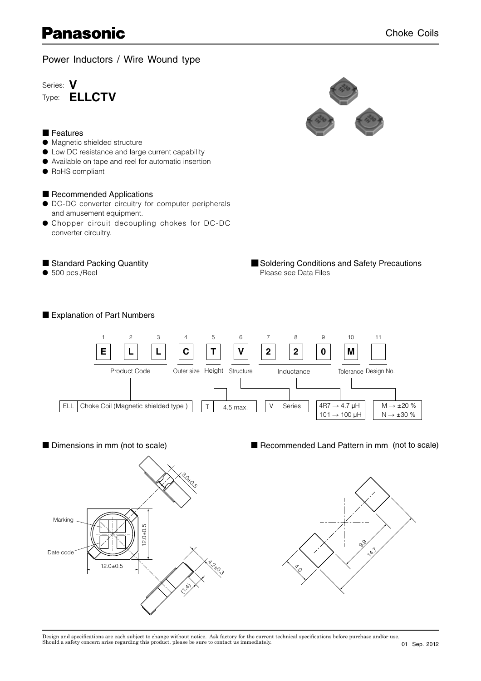# **Panasonic**

Power Inductors / Wire Wound type

Series: **V** Type: **ELLCTV**



■ Features

#### ● Magnetic shielded structure

- Low DC resistance and large current capability
- Available on tape and reel for automatic insertion
- RoHS compliant

### ■ Recommended Applications

- DC-DC converter circuitry for computer peripherals and amusement equipment.
- Chopper circuit decoupling chokes for DC-DC converter circuitry.

### ■ Standard Packing Quantity

■ Explanation of Part Numbers

 $\bullet$  500 pcs./Reel

■ Soldering Conditions and Safety Precautions Please see Data Files





■ Dimensions in mm (not to scale) ■ Recommended Land Pattern in mm (not to scale)



Design and specifications are each subject to change without notice. Ask factory for the current technical specifications before purchase and/or use.<br>Should a safety concern arise regarding this product, please be sure to